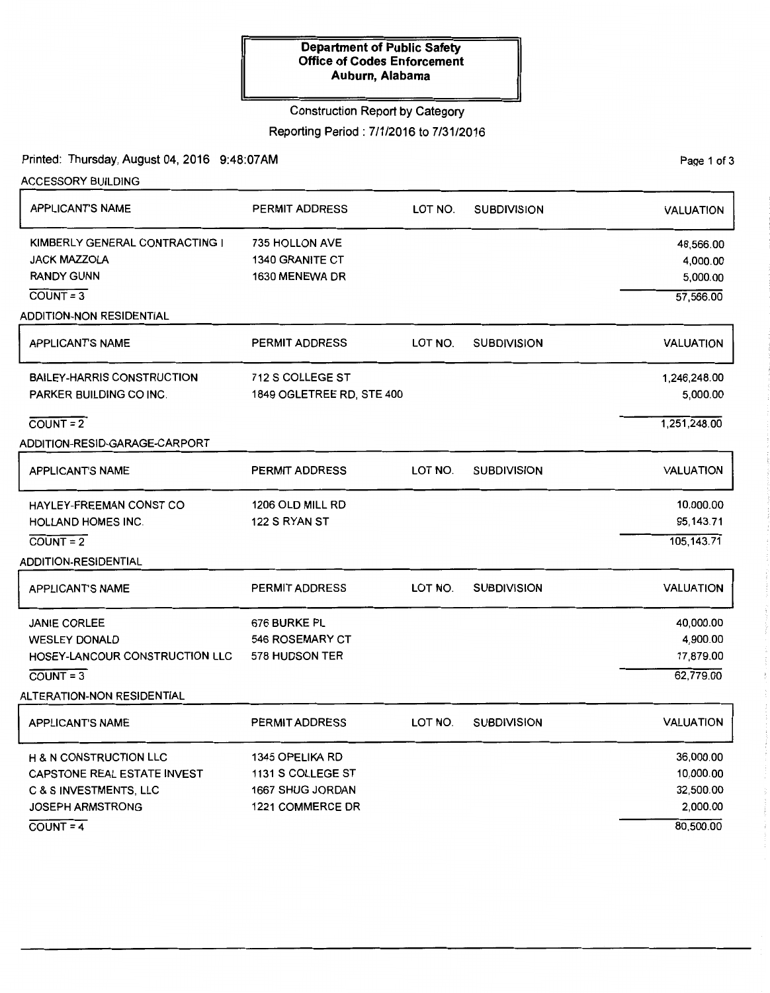## Construction Report by Category

Reporting Period: 7/1/2016 to 7/31/2016

Printed: Thursday, August 04, 2016 9:48:07AM

ACCESSORY BUILDING APPLICANT'S NAME KIMBERLY GENERAL CONTRACTING I JACK MAZZOLA **RANDY GUNN**  $\overline{COUNT} = 3$ ADDITION-NON RESIDENTIAL APPLICANT'S NAME BAILEY-HARRIS CONSTRUCTION PARKER BUILDING CO INC.  $COUNT = 2$ ADDITION-RESID-GARAGE-CARPORT APPLICANT'S NAME HAYLEY-FREEMAN CONST CO HOLLAND HOMES INC.  $COUNT = 2$ ADDITION-RESIDENTIAL APPLICANT'S NAME PERMIT ADDRESS 735 HOLLON AVE 1340 GRANITE CT 1630 MENEWA DR PERMIT ADDRESS 712 S COLLEGE ST 1849 OGLETREE RD, STE 400 PERMIT ADDRESS 1206 OLD MILL RD 122 S RYAN ST PERMIT ADDRESS JANIE CORLEE 676 BURKE PL WESLEY DONALD 546 ROSEMARY CT HOSEY-LANCOUR CONSTRUCTION LLC 578 HUDSON TER COUNT= 3 ALTERATION-NON RESIDENTIAL APPLICANT'S NAME H & N CONSTRUCTION LLC CAPSTONE REAL ESTATE INVEST C & S INVESTMENTS, LLC JOSEPH ARMSTRONG  $C)$ COUNT = 4 PERMIT ADDRESS 1345 OPELIKA RD 1131 S COLLEGE ST 1667 SHUG JORDAN 1221 COMMERCE DR LOT NO. SUBDIVISION LOT NO. SUBDIVISION LOT NO. SUBDIVISION LOT NO. SUBDIVISION LOT NO. SUBDIVISION VALUATION 48,566.00 4,000.00 5,000.00 57,566.00 VALUATION 1 ,246,248.00 5,000.00 1 ,251 ,248.00 VALUATION 10,000.00 95,143.71 105,143.71 VALUATION 40,000.00 4,900.00 17,879.00 62,779.00 VALUATION 36,000.00 10,000.00 32,500.00 2,000.00 80,500.00

PaQe 1 of 3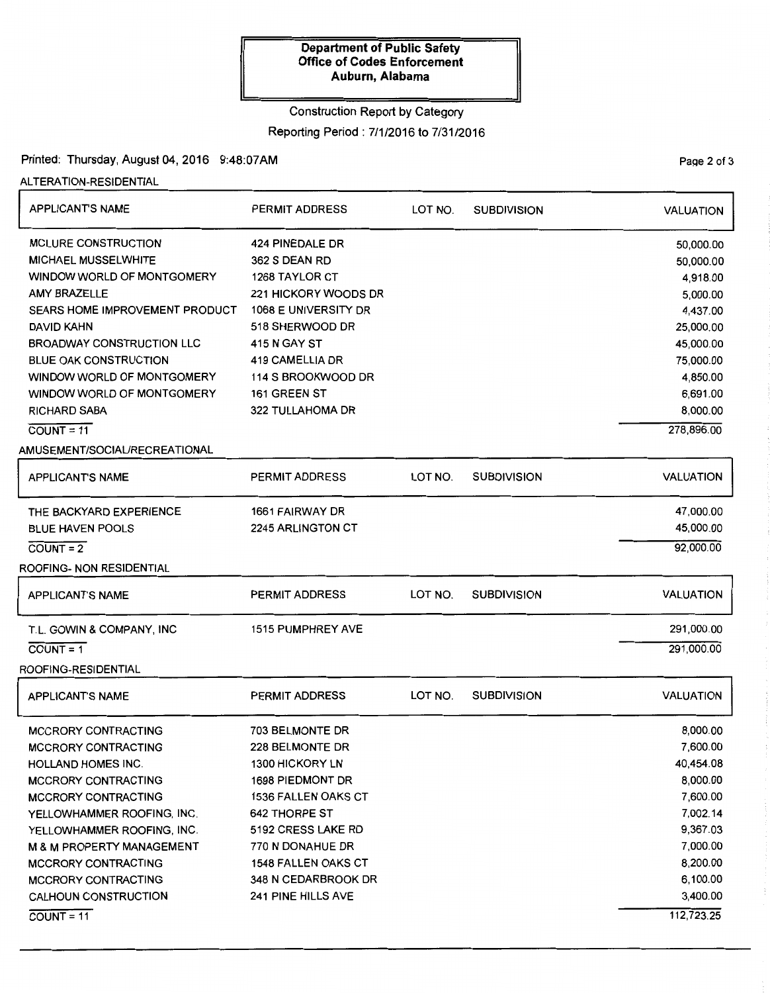## Construction Report by Category

Reporting Period: 7/1/2016 to 7/31/2016

Printed: Thursday, August 04, 2016 9:48:07AM

ALTERATION-RESIDENTIAL

| <b>APPLICANT'S NAME</b>                                                                                                                                                                                                                                                                                                                                 | <b>PERMIT ADDRESS</b>                                                                                                                                                                                                                                       | LOT NO. | <b>SUBDIVISION</b> | <b>VALUATION</b>                                                                                                                                    |
|---------------------------------------------------------------------------------------------------------------------------------------------------------------------------------------------------------------------------------------------------------------------------------------------------------------------------------------------------------|-------------------------------------------------------------------------------------------------------------------------------------------------------------------------------------------------------------------------------------------------------------|---------|--------------------|-----------------------------------------------------------------------------------------------------------------------------------------------------|
| <b>MCLURE CONSTRUCTION</b><br>MICHAEL MUSSELWHITE<br>WINDOW WORLD OF MONTGOMERY<br>AMY BRAZELLE<br>SEARS HOME IMPROVEMENT PRODUCT<br>DAVID KAHN<br><b>BROADWAY CONSTRUCTION LLC</b><br><b>BLUE OAK CONSTRUCTION</b><br>WINDOW WORLD OF MONTGOMERY<br>WINDOW WORLD OF MONTGOMERY<br><b>RICHARD SABA</b><br>$COUNT = 11$<br>AMUSEMENT/SOCIAL/RECREATIONAL | 424 PINEDALE DR<br>362 S DEAN RD<br><b>1268 TAYLOR CT</b><br>221 HICKORY WOODS DR<br>1068 E UNIVERSITY DR<br>518 SHERWOOD DR<br>415 N GAY ST<br>419 CAMELLIA DR<br>114 S BROOKWOOD DR<br>161 GREEN ST<br>322 TULLAHOMA DR                                   |         |                    | 50,000.00<br>50,000.00<br>4,918.00<br>5,000.00<br>4,437.00<br>25,000.00<br>45,000.00<br>75,000.00<br>4,850.00<br>6,691.00<br>8,000.00<br>278,896.00 |
| <b>APPLICANT'S NAME</b>                                                                                                                                                                                                                                                                                                                                 | <b>PERMIT ADDRESS</b>                                                                                                                                                                                                                                       | LOT NO. | <b>SUBDIVISION</b> | <b>VALUATION</b>                                                                                                                                    |
| THE BACKYARD EXPERIENCE<br><b>BLUE HAVEN POOLS</b><br>$COUNT = 2$<br>ROOFING- NON RESIDENTIAL                                                                                                                                                                                                                                                           | 1661 FAIRWAY DR<br>2245 ARLINGTON CT                                                                                                                                                                                                                        |         |                    | 47,000.00<br>45,000.00<br>92,000.00                                                                                                                 |
| <b>APPLICANT'S NAME</b>                                                                                                                                                                                                                                                                                                                                 | <b>PERMIT ADDRESS</b>                                                                                                                                                                                                                                       | LOT NO. | <b>SUBDIVISION</b> | <b>VALUATION</b>                                                                                                                                    |
| T.L. GOWIN & COMPANY, INC<br>$COUNT = 1$<br>ROOFING-RESIDENTIAL                                                                                                                                                                                                                                                                                         | <b>1515 PUMPHREY AVE</b>                                                                                                                                                                                                                                    |         |                    | 291,000.00<br>291,000.00                                                                                                                            |
| <b>APPLICANT'S NAME</b>                                                                                                                                                                                                                                                                                                                                 | <b>PERMIT ADDRESS</b>                                                                                                                                                                                                                                       | LOT NO. | <b>SUBDIVISION</b> | <b>VALUATION</b>                                                                                                                                    |
| <b>MCCRORY CONTRACTING</b><br><b>MCCRORY CONTRACTING</b><br>HOLLAND HOMES INC.<br><b>MCCRORY CONTRACTING</b><br><b>MCCRORY CONTRACTING</b><br>YELLOWHAMMER ROOFING, INC.<br>YELLOWHAMMER ROOFING, INC.<br><b>M &amp; M PROPERTY MANAGEMENT</b><br><b>MCCRORY CONTRACTING</b><br><b>MCCRORY CONTRACTING</b><br>CALHOUN CONSTRUCTION<br>$COUNT = 11$      | 703 BELMONTE DR<br>228 BELMONTE DR<br><b>1300 HICKORY LN</b><br>1698 PIEDMONT DR<br><b>1536 FALLEN OAKS CT</b><br><b>642 THORPE ST</b><br>5192 CRESS LAKE RD<br>770 N DONAHUE DR<br><b>1548 FALLEN OAKS CT</b><br>348 N CEDARBROOK DR<br>241 PINE HILLS AVE |         |                    | 8,000.00<br>7,600.00<br>40,454.08<br>8,000.00<br>7,600.00<br>7,002.14<br>9,367.03<br>7,000.00<br>8,200.00<br>6,100.00<br>3,400.00<br>112,723.25     |

PaQe 2 of 3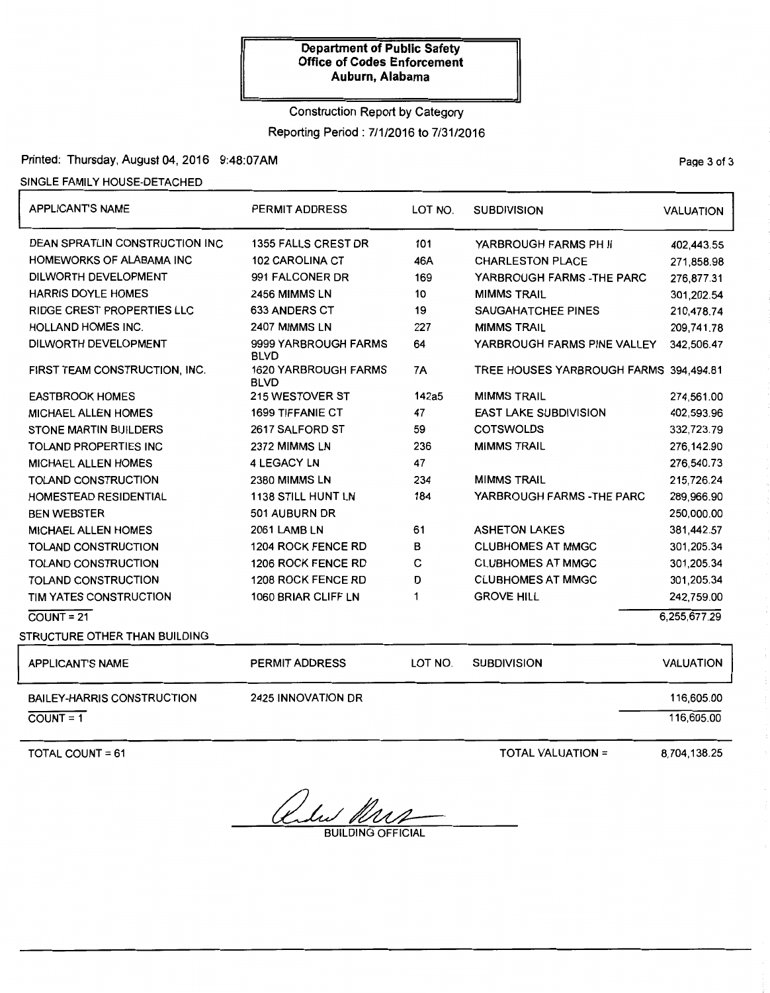## Construction Report by Category

Reporting Period: 7/1/2016 to 7/31/2016

## Printed: Thursday, August 04, 2016 9:48:07AM Printed: Thursday, August 04, 2016 9:48:07AM

## SINGLE FAMILY HOUSE-DETACHED

| <b>APPLICANT'S NAME</b>                | PERMIT ADDRESS                             | LOT NO.   | <b>SUBDIVISION</b>                     | <b>VALUATION</b> |
|----------------------------------------|--------------------------------------------|-----------|----------------------------------------|------------------|
| <b>DEAN SPRATLIN CONSTRUCTION INC.</b> | 1355 FALLS CREST DR                        | 101       | YARBROUGH FARMS PH II                  | 402,443.55       |
| HOMEWORKS OF ALABAMA INC               | 102 CAROLINA CT                            | 46A       | <b>CHARLESTON PLACE</b>                | 271,858.98       |
| DILWORTH DEVELOPMENT                   | 991 FALCONER DR                            | 169       | YARBROUGH FARMS - THE PARC             | 276,877.31       |
| <b>HARRIS DOYLE HOMES</b>              | 2456 MIMMS LN                              | 10        | <b>MIMMS TRAIL</b>                     | 301,202.54       |
| RIDGE CREST PROPERTIES LLC             | 633 ANDERS CT                              | 19        | SAUGAHATCHEE PINES                     | 210,478.74       |
| HOLLAND HOMES INC.                     | 2407 MIMMS LN                              | 227       | <b>MIMMS TRAIL</b>                     | 209,741.78       |
| DILWORTH DEVELOPMENT                   | 9999 YARBROUGH FARMS<br><b>BLVD</b>        | 64        | YARBROUGH FARMS PINE VALLEY            | 342.506.47       |
| FIRST TEAM CONSTRUCTION, INC.          | <b>1620 YARBROUGH FARMS</b><br><b>BLVD</b> | <b>7A</b> | TREE HOUSES YARBROUGH FARMS 394,494.81 |                  |
| <b>EASTBROOK HOMES</b>                 | 215 WESTOVER ST                            | 142a5     | <b>MIMMS TRAIL</b>                     | 274.561.00       |
| <b>MICHAEL ALLEN HOMES</b>             | <b>1699 TIFFANIE CT</b>                    | 47        | <b>EAST LAKE SUBDIVISION</b>           | 402,593.96       |
| STONE MARTIN BUILDERS                  | 2617 SALFORD ST                            | 59        | <b>COTSWOLDS</b>                       | 332,723.79       |
| <b>TOLAND PROPERTIES INC</b>           | 2372 MIMMS LN                              | 236       | <b>MIMMS TRAIL</b>                     | 276,142.90       |
| <b>MICHAEL ALLEN HOMES</b>             | <b>4 LEGACY LN</b>                         | 47        |                                        | 276,540.73       |
| TOLAND CONSTRUCTION                    | 2380 MIMMS LN                              | 234       | <b>MIMMS TRAIL</b>                     | 215,726.24       |
| HOMESTEAD RESIDENTIAL                  | <b>1138 STILL HUNT LN</b>                  | 184       | YARBROUGH FARMS - THE PARC             | 289,966.90       |
| <b>BEN WEBSTER</b>                     | 501 AUBURN DR                              |           |                                        | 250,000.00       |
| <b>MICHAEL ALLEN HOMES</b>             | 2061 LAMB LN                               | 61        | <b>ASHETON LAKES</b>                   | 381,442.57       |
| TOLAND CONSTRUCTION                    | 1204 ROCK FENCE RD                         | B         | <b>CLUBHOMES AT MMGC</b>               | 301,205.34       |
| TOLAND CONSTRUCTION                    | 1206 ROCK FENCE RD                         | с         | <b>CLUBHOMES AT MMGC</b>               | 301,205.34       |
| TOLAND CONSTRUCTION                    | 1208 ROCK FENCE RD                         | D         | <b>CLUBHOMES AT MMGC</b>               | 301,205.34       |
| TIM YATES CONSTRUCTION                 | 1060 BRIAR CLIFF LN                        | 1         | <b>GROVE HILL</b>                      | 242,759.00       |
| $\overline{COUNT} = 21$                |                                            |           |                                        | 6,255,677.29     |
| STRUCTURE OTHER THAN BUILDING          |                                            |           |                                        |                  |
| <b>APPLICANT'S NAME</b>                | <b>PERMIT ADDRESS</b>                      | LOT NO.   | <b>SUBDIVISION</b>                     | <b>VALUATION</b> |
| <b>BAILEY-HARRIS CONSTRUCTION</b>      | 2425 INNOVATION DR                         |           |                                        | 116,605.00       |
| $COUNT = 1$                            |                                            |           |                                        | 116,605.00       |
|                                        |                                            |           |                                        |                  |

TOTAL COUNT  $= 61$ 

TOTAL VALUATION =  $8,704,138.25$ 

Onder Mrs

BUILDING OFFICIAL